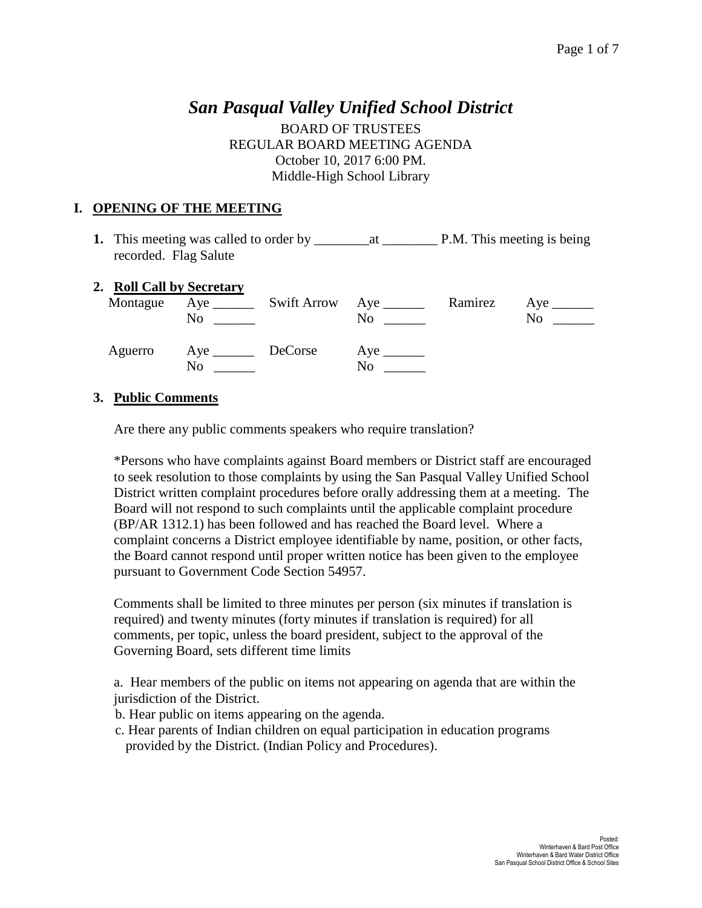# *San Pasqual Valley Unified School District*

BOARD OF TRUSTEES REGULAR BOARD MEETING AGENDA October 10, 2017 6:00 PM. Middle-High School Library

### **I. OPENING OF THE MEETING**

**1.** This meeting was called to order by \_\_\_\_\_\_\_\_at \_\_\_\_\_\_\_\_ P.M. This meeting is being recorded. Flag Salute

#### **2. Roll Call by Secretary**

|         | Montague Aye _______<br>No | Swift Arrow Aye ______<br>No  | Ramirez | Aye $\_\_$<br>No |
|---------|----------------------------|-------------------------------|---------|------------------|
| Aguerro | No                         | $Aye$ <sub>______</sub><br>No |         |                  |

### **3. Public Comments**

Are there any public comments speakers who require translation?

\*Persons who have complaints against Board members or District staff are encouraged to seek resolution to those complaints by using the San Pasqual Valley Unified School District written complaint procedures before orally addressing them at a meeting. The Board will not respond to such complaints until the applicable complaint procedure (BP/AR 1312.1) has been followed and has reached the Board level. Where a complaint concerns a District employee identifiable by name, position, or other facts, the Board cannot respond until proper written notice has been given to the employee pursuant to Government Code Section 54957.

Comments shall be limited to three minutes per person (six minutes if translation is required) and twenty minutes (forty minutes if translation is required) for all comments, per topic, unless the board president, subject to the approval of the Governing Board, sets different time limits

a. Hear members of the public on items not appearing on agenda that are within the jurisdiction of the District.

b. Hear public on items appearing on the agenda.

 c. Hear parents of Indian children on equal participation in education programs provided by the District. (Indian Policy and Procedures).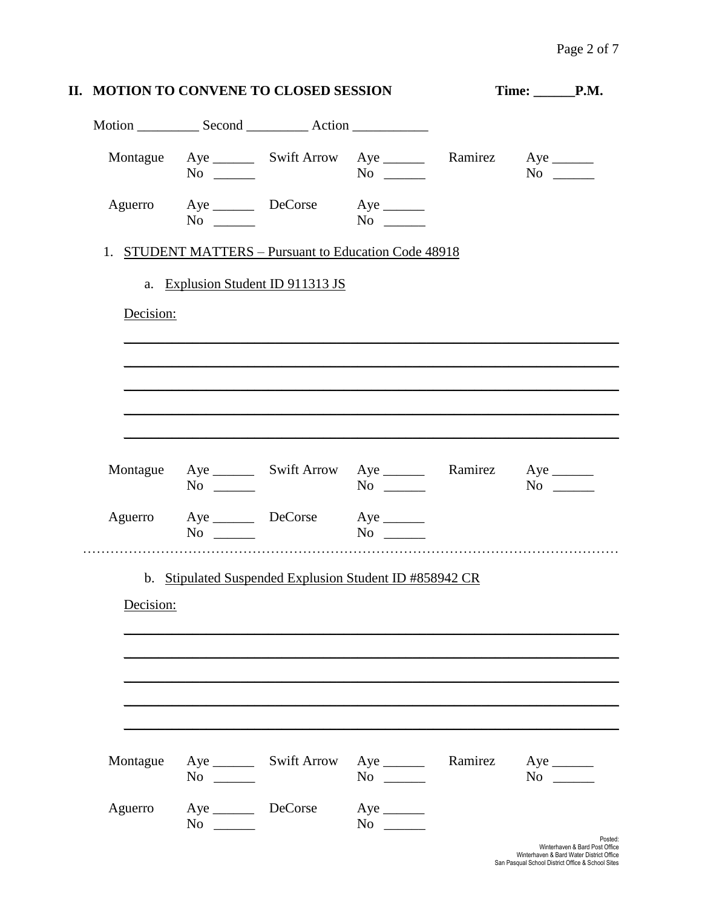|                                                                    |                        | Time: _______P.M.                 |                                                                    |         |           |  |
|--------------------------------------------------------------------|------------------------|-----------------------------------|--------------------------------------------------------------------|---------|-----------|--|
|                                                                    |                        |                                   |                                                                    |         |           |  |
|                                                                    | $No \ \_$              |                                   | Montague Aye ________ Swift Arrow Aye ________ Ramirez Aye _______ |         | $No \ \_$ |  |
| Aguerro                                                            | $No \ \_$              | Aye DeCorse Aye                   | $\overline{N_0}$                                                   |         |           |  |
|                                                                    |                        |                                   | 1. STUDENT MATTERS - Pursuant to Education Code 48918              |         |           |  |
|                                                                    |                        | a. Explusion Student ID 911313 JS |                                                                    |         |           |  |
| Decision:                                                          |                        |                                   |                                                                    |         |           |  |
|                                                                    |                        |                                   |                                                                    |         |           |  |
|                                                                    |                        |                                   |                                                                    |         |           |  |
|                                                                    |                        |                                   |                                                                    |         |           |  |
|                                                                    |                        |                                   |                                                                    |         |           |  |
|                                                                    |                        |                                   |                                                                    |         |           |  |
|                                                                    |                        |                                   |                                                                    |         |           |  |
| Montague Aye ________ Swift Arrow Aye ________ Ramirez Aye _______ | $No \_$                |                                   | $No \ \_$                                                          |         | $No \ \_$ |  |
|                                                                    | $No \ \_$              | Aguerro Aye DeCorse Aye _______   | No not be a set of $\mathbf{N}$                                    |         |           |  |
|                                                                    |                        |                                   |                                                                    |         |           |  |
|                                                                    |                        |                                   | b. Stipulated Suspended Explusion Student ID #858942 CR            |         |           |  |
| Decision:                                                          |                        |                                   |                                                                    |         |           |  |
|                                                                    |                        |                                   |                                                                    |         |           |  |
|                                                                    |                        |                                   |                                                                    |         |           |  |
|                                                                    |                        |                                   |                                                                    |         |           |  |
|                                                                    |                        |                                   |                                                                    |         |           |  |
|                                                                    |                        |                                   |                                                                    |         |           |  |
| Montague                                                           | $No \ \_$              |                                   | $No \ \_$                                                          | Ramirez | $No \ \_$ |  |
| Aguerro                                                            | Aye __________ DeCorse |                                   | $Aye$ <sub>_______</sub>                                           |         |           |  |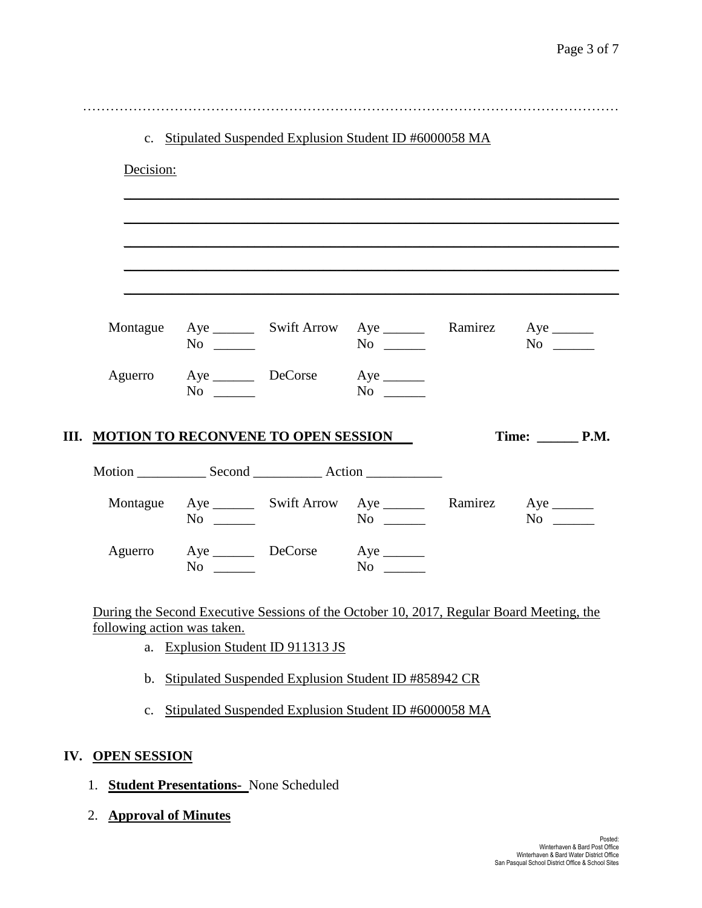|     |                                                 |                                              |                                   | c. Stipulated Suspended Explusion Student ID #6000058 MA                                 |                                 |  |
|-----|-------------------------------------------------|----------------------------------------------|-----------------------------------|------------------------------------------------------------------------------------------|---------------------------------|--|
|     | Decision:                                       |                                              |                                   |                                                                                          |                                 |  |
|     |                                                 |                                              |                                   |                                                                                          |                                 |  |
|     |                                                 |                                              |                                   |                                                                                          |                                 |  |
|     |                                                 |                                              |                                   |                                                                                          |                                 |  |
|     |                                                 | $No \ \_$                                    |                                   | Montague Aye ________ Swift Arrow Aye ________ Ramirez Aye _______                       | $No \ \_$                       |  |
|     |                                                 | $No \_$                                      | Aguerro Aye DeCorse Aye _______   |                                                                                          |                                 |  |
|     | <b>III. MOTION TO RECONVENE TO OPEN SESSION</b> |                                              |                                   |                                                                                          | Time: $\rule{1em}{0.15mm}$ P.M. |  |
|     |                                                 |                                              |                                   |                                                                                          |                                 |  |
|     |                                                 | $No \ \_$                                    |                                   | Montague Aye ________ Swift Arrow Aye _________ Ramirez Aye _______                      | $No \_$                         |  |
|     |                                                 | $No \ \_$                                    | Aguerro Aye DeCorse Aye           | $No \ \_$                                                                                |                                 |  |
|     |                                                 |                                              |                                   | During the Second Executive Sessions of the October 10, 2017, Regular Board Meeting, the |                                 |  |
|     | following action was taken.                     |                                              | a. Explusion Student ID 911313 JS |                                                                                          |                                 |  |
|     | $\mathbf{b}$ .                                  |                                              |                                   | Stipulated Suspended Explusion Student ID #858942 CR                                     |                                 |  |
|     | $\mathbf{c}$ .                                  |                                              |                                   | Stipulated Suspended Explusion Student ID #6000058 MA                                    |                                 |  |
| IV. | <b>OPEN SESSION</b>                             |                                              |                                   |                                                                                          |                                 |  |
|     | 1.                                              | <b>Student Presentations-</b> None Scheduled |                                   |                                                                                          |                                 |  |
|     | <b>Approval of Minutes</b><br>2.                |                                              |                                   |                                                                                          |                                 |  |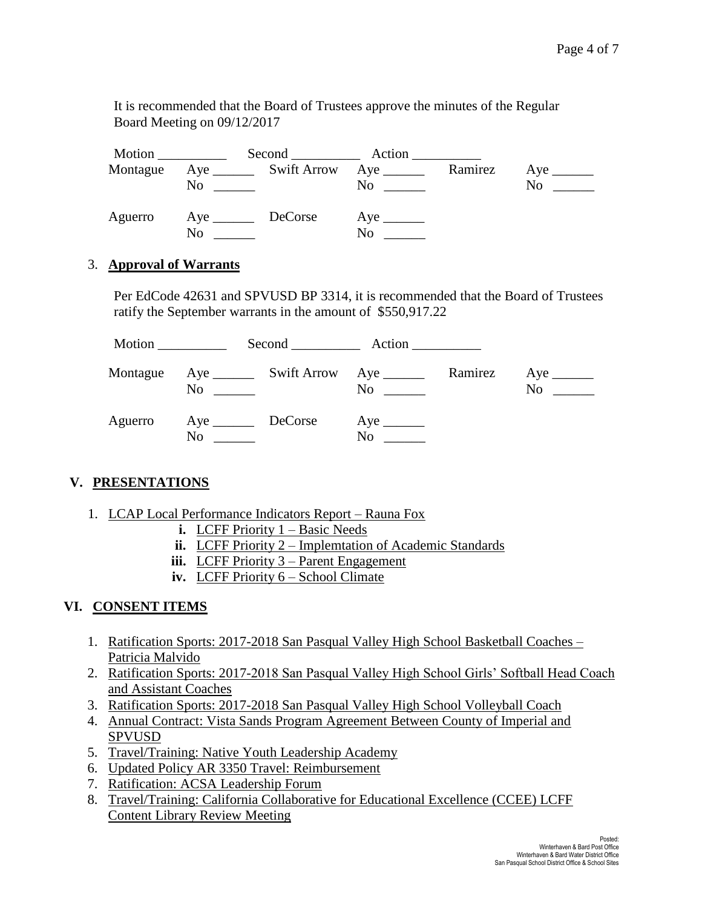It is recommended that the Board of Trustees approve the minutes of the Regular Board Meeting on 09/12/2017

|          |                          |                                        | Second Action |         |                |
|----------|--------------------------|----------------------------------------|---------------|---------|----------------|
| Montague | No                       | Aye __________ Swift Arrow Aye _______ | $\rm No$      | Ramirez | N <sub>0</sub> |
| Aguerro  | Aye <u>DeCorse</u><br>No |                                        | No            |         |                |

### 3. **Approval of Warrants**

Per EdCode 42631 and SPVUSD BP 3314, it is recommended that the Board of Trustees ratify the September warrants in the amount of \$550,917.22

|          |                   | Second Action  |         |                                                               |
|----------|-------------------|----------------|---------|---------------------------------------------------------------|
| Montague | N <sub>0</sub>    | N <sub>0</sub> | Ramirez | Aye $\qquad$<br>No<br>$\mathcal{L}^{\text{max}}_{\text{max}}$ |
| Aguerro  | Aye DeCorse<br>No | N <sub>0</sub> |         |                                                               |

# **V. PRESENTATIONS**

- 1. LCAP Local Performance Indicators Report Rauna Fox
	- **i.** LCFF Priority  $1 Basic$  Needs
	- **ii.** LCFF Priority 2 Implemtation of Academic Standards
	- **iii.** LCFF Priority 3 Parent Engagement
	- **iv.** LCFF Priority 6 School Climate

# **VI. CONSENT ITEMS**

- 1. Ratification Sports: 2017-2018 San Pasqual Valley High School Basketball Coaches Patricia Malvido
- 2. Ratification Sports: 2017-2018 San Pasqual Valley High School Girls' Softball Head Coach and Assistant Coaches
- 3. Ratification Sports: 2017-2018 San Pasqual Valley High School Volleyball Coach
- 4. Annual Contract: Vista Sands Program Agreement Between County of Imperial and SPVUSD
- 5. Travel/Training: Native Youth Leadership Academy
- 6. Updated Policy AR 3350 Travel: Reimbursement
- 7. Ratification: ACSA Leadership Forum
- 8. Travel/Training: California Collaborative for Educational Excellence (CCEE) LCFF Content Library Review Meeting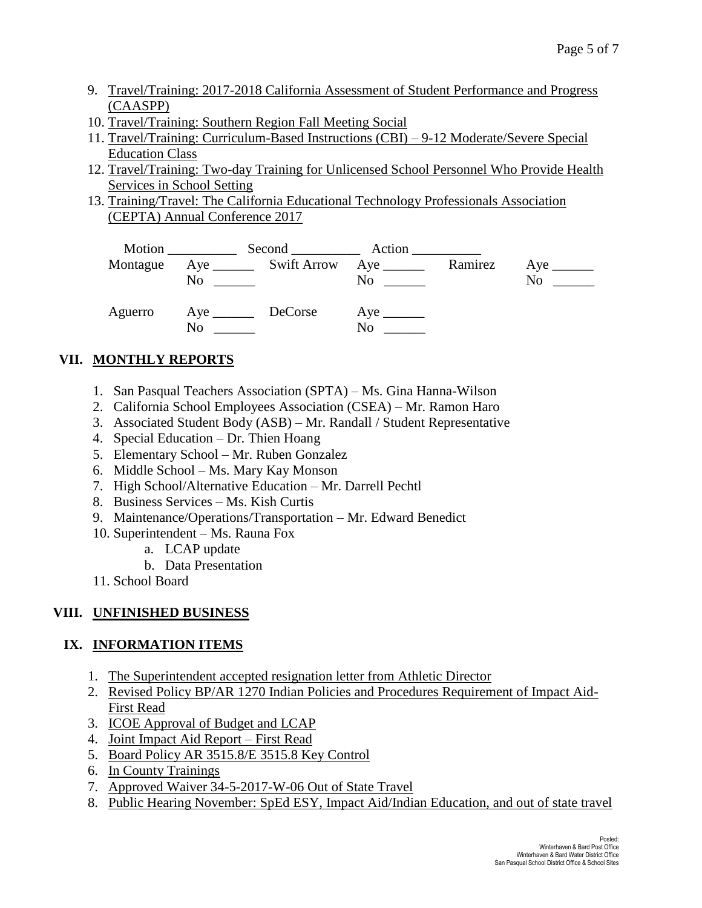- 9. Travel/Training: 2017-2018 California Assessment of Student Performance and Progress (CAASPP)
- 10. Travel/Training: Southern Region Fall Meeting Social
- 11. Travel/Training: Curriculum-Based Instructions (CBI) 9-12 Moderate/Severe Special Education Class
- 12. Travel/Training: Two-day Training for Unlicensed School Personnel Who Provide Health Services in School Setting
- 13. Training/Travel: The California Educational Technology Professionals Association (CEPTA) Annual Conference 2017



# **VII. MONTHLY REPORTS**

- 1. San Pasqual Teachers Association (SPTA) Ms. Gina Hanna-Wilson
- 2. California School Employees Association (CSEA) Mr. Ramon Haro
- 3. Associated Student Body (ASB) Mr. Randall / Student Representative
- 4. Special Education Dr. Thien Hoang
- 5. Elementary School Mr. Ruben Gonzalez
- 6. Middle School Ms. Mary Kay Monson
- 7. High School/Alternative Education Mr. Darrell Pechtl
- 8. Business Services Ms. Kish Curtis
- 9. Maintenance/Operations/Transportation Mr. Edward Benedict
- 10. Superintendent Ms. Rauna Fox
	- a. LCAP update
	- b. Data Presentation
- 11. School Board

# **VIII. UNFINISHED BUSINESS**

# **IX. INFORMATION ITEMS**

- 1. The Superintendent accepted resignation letter from Athletic Director
- 2. Revised Policy BP/AR 1270 Indian Policies and Procedures Requirement of Impact Aid-First Read
- 3. ICOE Approval of Budget and LCAP
- 4. Joint Impact Aid Report First Read
- 5. Board Policy AR 3515.8/E 3515.8 Key Control
- 6. In County Trainings
- 7. Approved Waiver 34-5-2017-W-06 Out of State Travel
- 8. Public Hearing November: SpEd ESY, Impact Aid/Indian Education, and out of state travel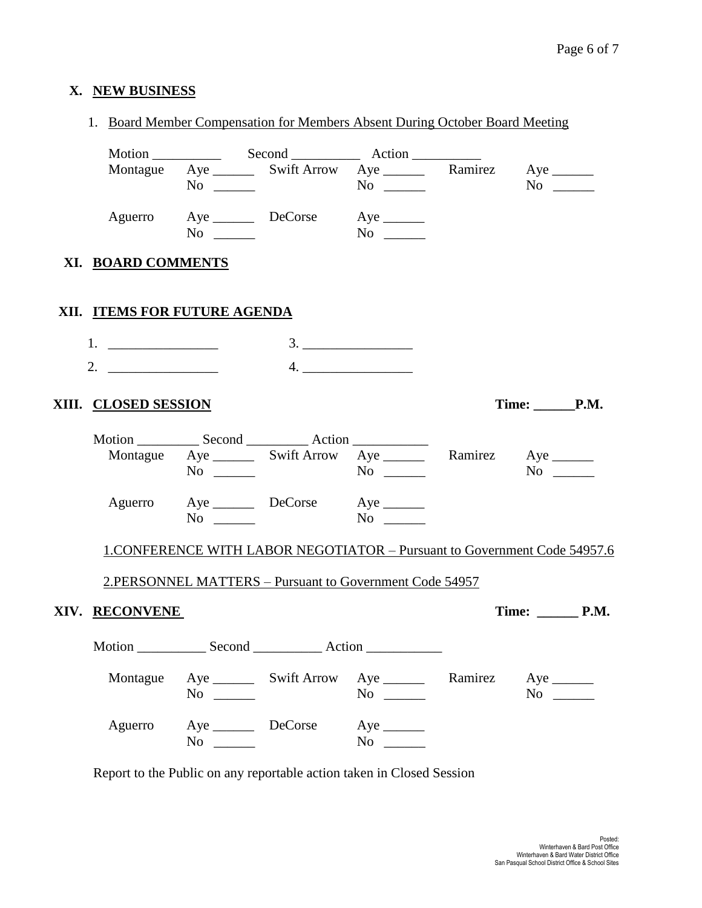# **X. NEW BUSINESS**

|                              |                                      | 1. Board Member Compensation for Members Absent During October Board Meeting |                                          |         |                                                                                 |
|------------------------------|--------------------------------------|------------------------------------------------------------------------------|------------------------------------------|---------|---------------------------------------------------------------------------------|
|                              |                                      |                                                                              |                                          |         |                                                                                 |
|                              |                                      | Montague Aye ________ Swift Arrow Aye _________ Ramirez Aye _______          |                                          |         |                                                                                 |
|                              | $No \ \_$                            |                                                                              | $No \t —$                                |         | $No \_$                                                                         |
|                              |                                      | Aguerro Aye DeCorse Aye                                                      |                                          |         |                                                                                 |
|                              |                                      | $\overline{\text{No}}$                                                       | $\overline{N_0}$                         |         |                                                                                 |
| XI. BOARD COMMENTS           |                                      |                                                                              |                                          |         |                                                                                 |
|                              |                                      |                                                                              |                                          |         |                                                                                 |
| XII. ITEMS FOR FUTURE AGENDA |                                      |                                                                              |                                          |         |                                                                                 |
|                              |                                      |                                                                              |                                          |         |                                                                                 |
|                              |                                      |                                                                              |                                          |         |                                                                                 |
| 2. $\qquad \qquad$           |                                      |                                                                              |                                          |         |                                                                                 |
| XIII. CLOSED SESSION         |                                      |                                                                              |                                          |         | Time: P.M.                                                                      |
|                              |                                      |                                                                              |                                          |         |                                                                                 |
|                              |                                      | Montague Aye ________ Swift Arrow Aye ________ Ramirez Aye _______           |                                          |         |                                                                                 |
|                              | $No \_$                              |                                                                              |                                          |         | $No \ \_$                                                                       |
|                              |                                      | Aguerro Aye DeCorse Aye                                                      |                                          |         |                                                                                 |
|                              | $No \ \_$                            |                                                                              |                                          |         |                                                                                 |
|                              |                                      |                                                                              |                                          |         | <b>1.CONFERENCE WITH LABOR NEGOTIATOR - Pursuant to Government Code 54957.6</b> |
|                              |                                      | 2.PERSONNEL MATTERS - Pursuant to Government Code 54957                      |                                          |         |                                                                                 |
|                              |                                      |                                                                              |                                          |         |                                                                                 |
| XIV. RECONVENE               |                                      |                                                                              |                                          |         |                                                                                 |
|                              |                                      |                                                                              |                                          |         |                                                                                 |
| Montague                     |                                      |                                                                              |                                          | Ramirez | $Aye$ <sub>______</sub>                                                         |
|                              | $No \ \_$                            |                                                                              | $No \ \_$                                |         | $No \_$                                                                         |
|                              |                                      |                                                                              |                                          |         |                                                                                 |
| Aguerro                      | Aye _________ DeCorse<br>$No \ \_\_$ |                                                                              | $Aye$ <sub>________</sub><br>No $\qquad$ |         |                                                                                 |

Report to the Public on any reportable action taken in Closed Session